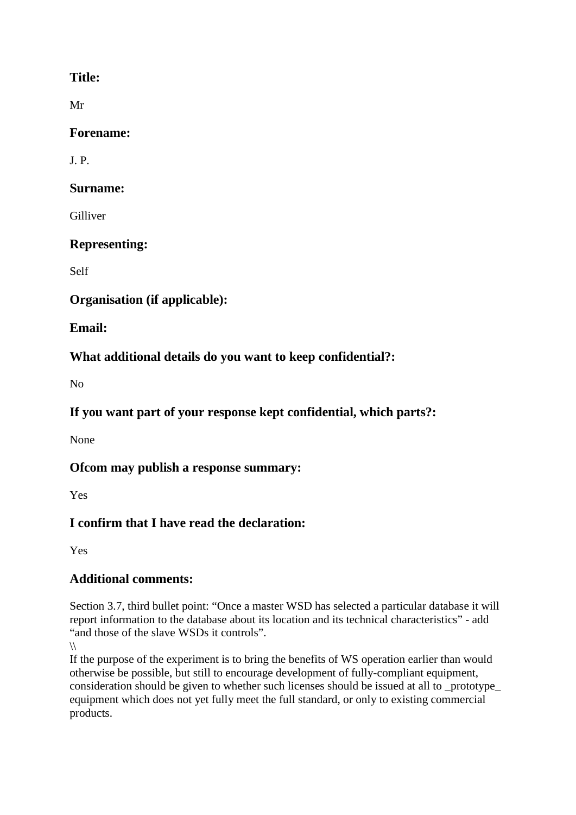## **Title:**

Mr

### **Forename:**

J. P.

### **Surname:**

Gilliver

## **Representing:**

Self

## **Organisation (if applicable):**

**Email:**

# **What additional details do you want to keep confidential?:**

 $N<sub>0</sub>$ 

# **If you want part of your response kept confidential, which parts?:**

None

## **Ofcom may publish a response summary:**

Yes

# **I confirm that I have read the declaration:**

Yes

# **Additional comments:**

Section 3.7, third bullet point: "Once a master WSD has selected a particular database it will report information to the database about its location and its technical characteristics" - add "and those of the slave WSDs it controls".

If the purpose of the experiment is to bring the benefits of WS operation earlier than would otherwise be possible, but still to encourage development of fully-compliant equipment, consideration should be given to whether such licenses should be issued at all to prototype equipment which does not yet fully meet the full standard, or only to existing commercial products.

 $\sqrt{ }$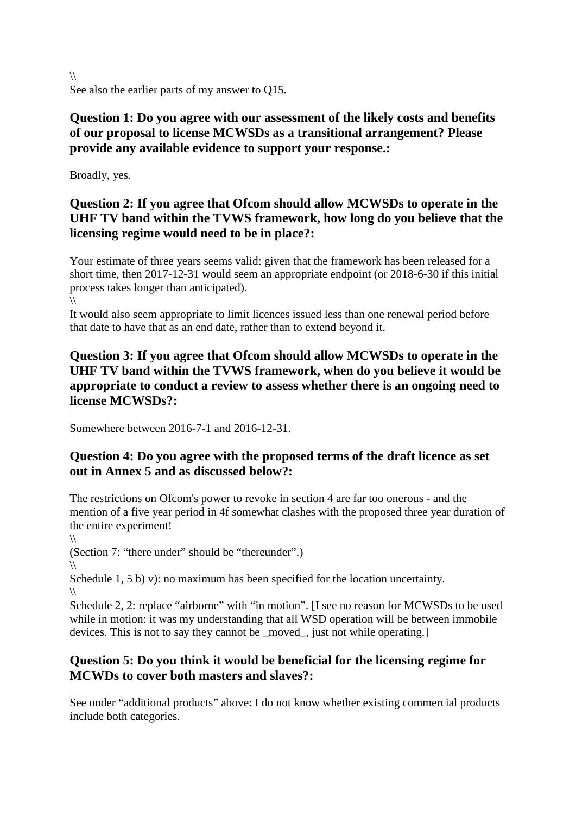$\sqrt{ }$ See also the earlier parts of my answer to Q15.

## **Question 1: Do you agree with our assessment of the likely costs and benefits of our proposal to license MCWSDs as a transitional arrangement? Please provide any available evidence to support your response.:**

Broadly, yes.

## **Question 2: If you agree that Ofcom should allow MCWSDs to operate in the UHF TV band within the TVWS framework, how long do you believe that the licensing regime would need to be in place?:**

Your estimate of three years seems valid: given that the framework has been released for a short time, then 2017-12-31 would seem an appropriate endpoint (or 2018-6-30 if this initial process takes longer than anticipated).

 $\sqrt{ }$ 

It would also seem appropriate to limit licences issued less than one renewal period before that date to have that as an end date, rather than to extend beyond it.

### **Question 3: If you agree that Ofcom should allow MCWSDs to operate in the UHF TV band within the TVWS framework, when do you believe it would be appropriate to conduct a review to assess whether there is an ongoing need to license MCWSDs?:**

Somewhere between 2016-7-1 and 2016-12-31.

### **Question 4: Do you agree with the proposed terms of the draft licence as set out in Annex 5 and as discussed below?:**

The restrictions on Ofcom's power to revoke in section 4 are far too onerous - and the mention of a five year period in 4f somewhat clashes with the proposed three year duration of the entire experiment!

 $\sqrt{ }$ (Section 7: "there under" should be "thereunder".)

 $\sqrt{ }$ 

Schedule 1, 5 b) v): no maximum has been specified for the location uncertainty.  $\sqrt{ }$ 

Schedule 2, 2: replace "airborne" with "in motion". [I see no reason for MCWSDs to be used while in motion: it was my understanding that all WSD operation will be between immobile devices. This is not to say they cannot be \_moved\_, just not while operating.]

## **Question 5: Do you think it would be beneficial for the licensing regime for MCWDs to cover both masters and slaves?:**

See under "additional products" above: I do not know whether existing commercial products include both categories.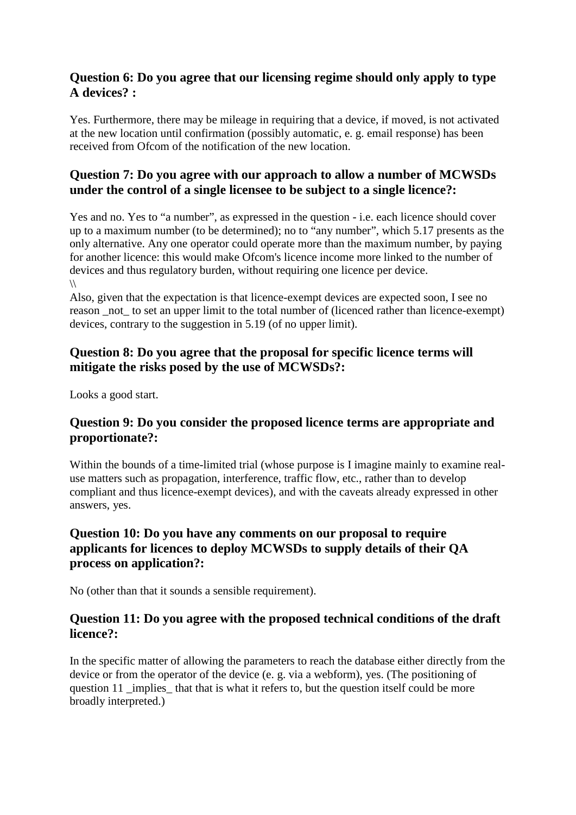#### **Question 6: Do you agree that our licensing regime should only apply to type A devices? :**

Yes. Furthermore, there may be mileage in requiring that a device, if moved, is not activated at the new location until confirmation (possibly automatic, e. g. email response) has been received from Ofcom of the notification of the new location.

### **Question 7: Do you agree with our approach to allow a number of MCWSDs under the control of a single licensee to be subject to a single licence?:**

Yes and no. Yes to "a number", as expressed in the question - i.e. each licence should cover up to a maximum number (to be determined); no to "any number", which 5.17 presents as the only alternative. Any one operator could operate more than the maximum number, by paying for another licence: this would make Ofcom's licence income more linked to the number of devices and thus regulatory burden, without requiring one licence per device.  $\sqrt{ }$ 

Also, given that the expectation is that licence-exempt devices are expected soon, I see no reason not to set an upper limit to the total number of (licenced rather than licence-exempt) devices, contrary to the suggestion in 5.19 (of no upper limit).

### **Question 8: Do you agree that the proposal for specific licence terms will mitigate the risks posed by the use of MCWSDs?:**

Looks a good start.

### **Question 9: Do you consider the proposed licence terms are appropriate and proportionate?:**

Within the bounds of a time-limited trial (whose purpose is I imagine mainly to examine realuse matters such as propagation, interference, traffic flow, etc., rather than to develop compliant and thus licence-exempt devices), and with the caveats already expressed in other answers, yes.

### **Question 10: Do you have any comments on our proposal to require applicants for licences to deploy MCWSDs to supply details of their QA process on application?:**

No (other than that it sounds a sensible requirement).

#### **Question 11: Do you agree with the proposed technical conditions of the draft licence?:**

In the specific matter of allowing the parameters to reach the database either directly from the device or from the operator of the device (e. g. via a webform), yes. (The positioning of question 11 \_implies\_ that that is what it refers to, but the question itself could be more broadly interpreted.)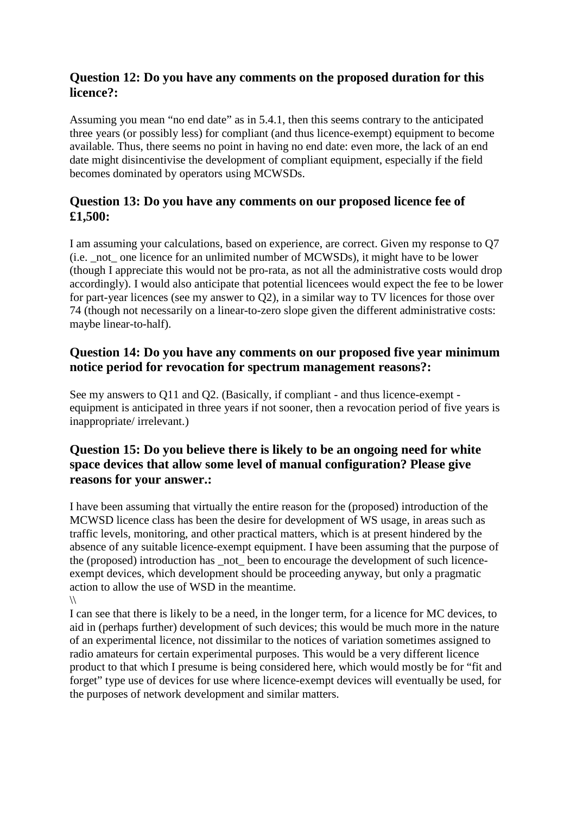#### **Question 12: Do you have any comments on the proposed duration for this licence?:**

Assuming you mean "no end date" as in 5.4.1, then this seems contrary to the anticipated three years (or possibly less) for compliant (and thus licence-exempt) equipment to become available. Thus, there seems no point in having no end date: even more, the lack of an end date might disincentivise the development of compliant equipment, especially if the field becomes dominated by operators using MCWSDs.

#### **Question 13: Do you have any comments on our proposed licence fee of £1,500:**

I am assuming your calculations, based on experience, are correct. Given my response to Q7 (i.e. \_not\_ one licence for an unlimited number of MCWSDs), it might have to be lower (though I appreciate this would not be pro-rata, as not all the administrative costs would drop accordingly). I would also anticipate that potential licencees would expect the fee to be lower for part-year licences (see my answer to Q2), in a similar way to TV licences for those over 74 (though not necessarily on a linear-to-zero slope given the different administrative costs: maybe linear-to-half).

### **Question 14: Do you have any comments on our proposed five year minimum notice period for revocation for spectrum management reasons?:**

See my answers to Q11 and Q2. (Basically, if compliant - and thus licence-exempt equipment is anticipated in three years if not sooner, then a revocation period of five years is inappropriate/ irrelevant.)

### **Question 15: Do you believe there is likely to be an ongoing need for white space devices that allow some level of manual configuration? Please give reasons for your answer.:**

I have been assuming that virtually the entire reason for the (proposed) introduction of the MCWSD licence class has been the desire for development of WS usage, in areas such as traffic levels, monitoring, and other practical matters, which is at present hindered by the absence of any suitable licence-exempt equipment. I have been assuming that the purpose of the (proposed) introduction has not been to encourage the development of such licenceexempt devices, which development should be proceeding anyway, but only a pragmatic action to allow the use of WSD in the meantime.  $\sqrt{ }$ 

I can see that there is likely to be a need, in the longer term, for a licence for MC devices, to aid in (perhaps further) development of such devices; this would be much more in the nature of an experimental licence, not dissimilar to the notices of variation sometimes assigned to radio amateurs for certain experimental purposes. This would be a very different licence product to that which I presume is being considered here, which would mostly be for "fit and forget" type use of devices for use where licence-exempt devices will eventually be used, for the purposes of network development and similar matters.